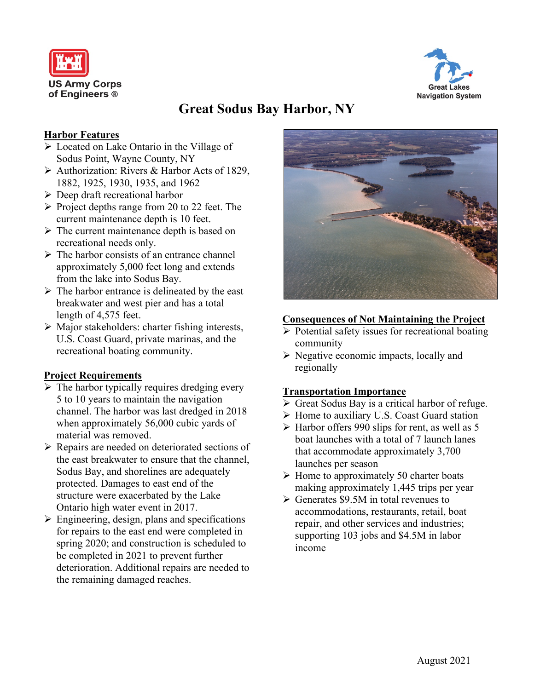



# **Great Sodus Bay Harbor, NY**

#### **Harbor Features**

- Located on Lake Ontario in the Village of Sodus Point, Wayne County, NY
- $\triangleright$  Authorization: Rivers & Harbor Acts of 1829, 1882, 1925, 1930, 1935, and 1962
- $\triangleright$  Deep draft recreational harbor
- $\triangleright$  Project depths range from 20 to 22 feet. The current maintenance depth is 10 feet.
- $\triangleright$  The current maintenance depth is based on recreational needs only.
- $\triangleright$  The harbor consists of an entrance channel approximately 5,000 feet long and extends from the lake into Sodus Bay.
- $\triangleright$  The harbor entrance is delineated by the east breakwater and west pier and has a total length of 4,575 feet.
- $\triangleright$  Major stakeholders: charter fishing interests, U.S. Coast Guard, private marinas, and the recreational boating community.

#### **Project Requirements**

- $\triangleright$  The harbor typically requires dredging every 5 to 10 years to maintain the navigation channel. The harbor was last dredged in 2018 when approximately 56,000 cubic yards of material was removed.
- Repairs are needed on deteriorated sections of the east breakwater to ensure that the channel, Sodus Bay, and shorelines are adequately protected. Damages to east end of the structure were exacerbated by the Lake Ontario high water event in 2017.
- $\triangleright$  Engineering, design, plans and specifications for repairs to the east end were completed in spring 2020; and construction is scheduled to be completed in 2021 to prevent further deterioration. Additional repairs are needed to the remaining damaged reaches.



#### **Consequences of Not Maintaining the Project**

- $\triangleright$  Potential safety issues for recreational boating community
- $\triangleright$  Negative economic impacts, locally and regionally

#### **Transportation Importance**

- $\triangleright$  Great Sodus Bay is a critical harbor of refuge.
- $\triangleright$  Home to auxiliary U.S. Coast Guard station
- $\triangleright$  Harbor offers 990 slips for rent, as well as 5 boat launches with a total of 7 launch lanes that accommodate approximately 3,700 launches per season
- $\triangleright$  Home to approximately 50 charter boats making approximately 1,445 trips per year
- $\triangleright$  Generates \$9.5M in total revenues to accommodations, restaurants, retail, boat repair, and other services and industries; supporting 103 jobs and \$4.5M in labor income